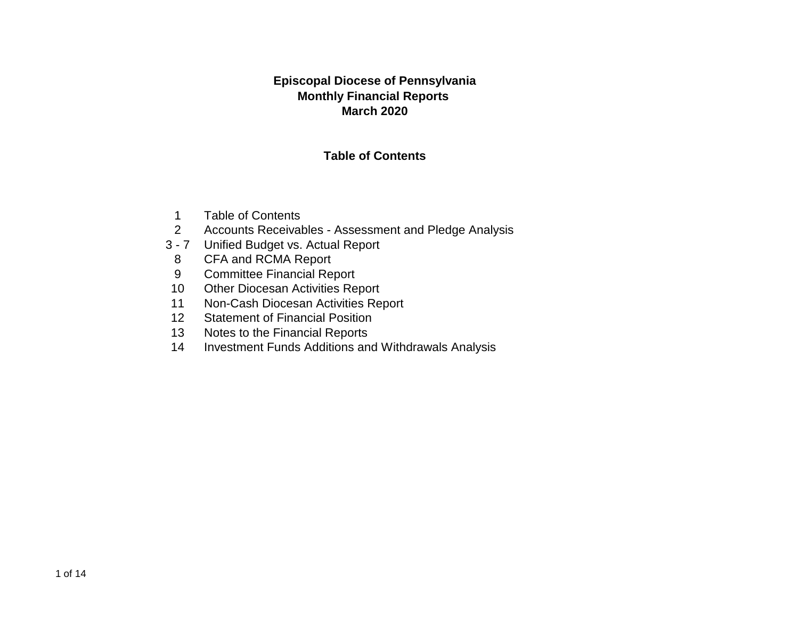### **Episcopal Diocese of Pennsylvania Monthly Financial Reports March 2020**

### **Table of Contents**

- 1 Table of Contents
- 2 Accounts Receivables Assessment and Pledge Analysis
- 3 7 Unified Budget vs. Actual Report
	- 8 CFA and RCMA Report
	- 9 Committee Financial Report
- 10 Other Diocesan Activities Report
- 11 Non-Cash Diocesan Activities Report
- 12 Statement of Financial Position
- 13 Notes to the Financial Reports
- 14 Investment Funds Additions and Withdrawals Analysis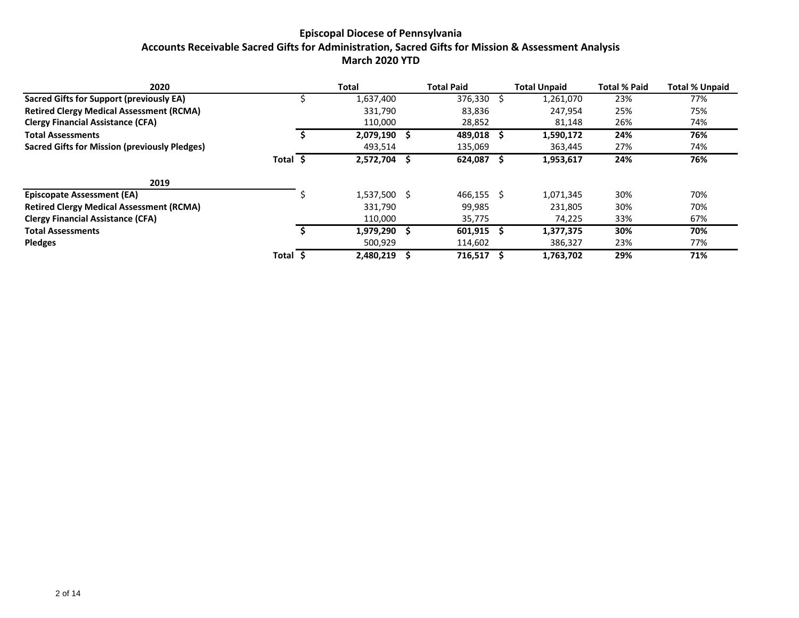### **Episcopal Diocese of Pennsylvania Accounts Receivable Sacred Gifts for Administration, Sacred Gifts for Mission & Assessment Analysis March 2020 YTD**

| 2020                                                 |          | Total          | <b>Total Paid</b> | <b>Total Unpaid</b> | <b>Total % Paid</b> | <b>Total % Unpaid</b> |
|------------------------------------------------------|----------|----------------|-------------------|---------------------|---------------------|-----------------------|
| Sacred Gifts for Support (previously EA)             |          | 1,637,400      | $376,330$ \$      | 1,261,070           | 23%                 | 77%                   |
| <b>Retired Clergy Medical Assessment (RCMA)</b>      |          | 331,790        | 83,836            | 247,954             | 25%                 | 75%                   |
| <b>Clergy Financial Assistance (CFA)</b>             |          | 110,000        | 28,852            | 81,148              | 26%                 | 74%                   |
| <b>Total Assessments</b>                             |          | 2,079,190      | 489,018           | 1,590,172           | 24%                 | 76%                   |
| <b>Sacred Gifts for Mission (previously Pledges)</b> |          | 493,514        | 135,069           | 363,445             | 27%                 | 74%                   |
|                                                      | Total \$ | 2,572,704      | 624,087           | 1,953,617           | 24%                 | 76%                   |
| 2019                                                 |          |                |                   |                     |                     |                       |
| <b>Episcopate Assessment (EA)</b>                    |          | $1,537,500$ \$ | $466,155$ \$      | 1,071,345           | 30%                 | 70%                   |
| <b>Retired Clergy Medical Assessment (RCMA)</b>      |          | 331,790        | 99,985            | 231,805             | 30%                 | 70%                   |
| <b>Clergy Financial Assistance (CFA)</b>             |          | 110,000        | 35,775            | 74,225              | 33%                 | 67%                   |
| <b>Total Assessments</b>                             |          | 1,979,290      | 601,915           | 1,377,375           | 30%                 | 70%                   |
| <b>Pledges</b>                                       |          | 500,929        | 114,602           | 386,327             | 23%                 | 77%                   |
|                                                      | Total    | 2,480,219      | 716,517           | 1,763,702           | 29%                 | 71%                   |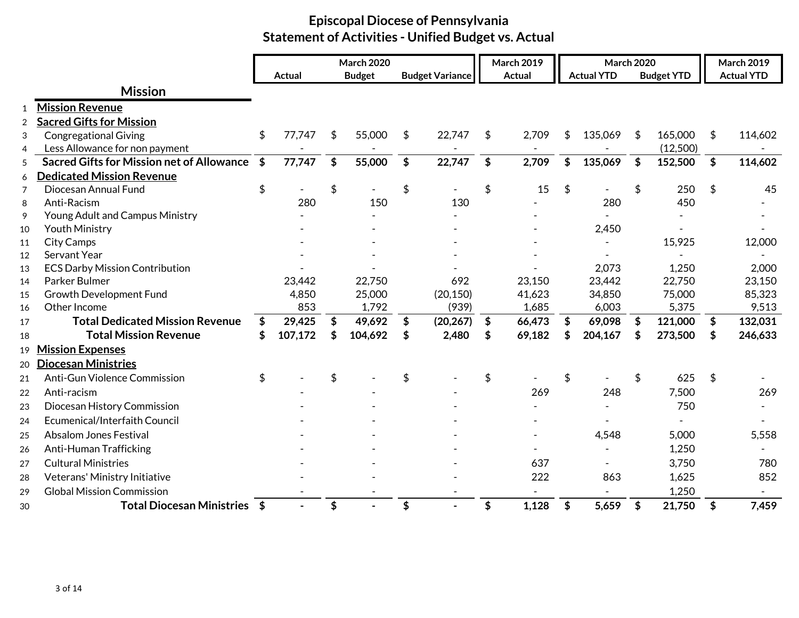|                |                                                  | Actual       | <b>March 2020</b><br><b>Budget</b> |                           | <b>Budget Variance</b> | <b>March 2019</b><br><b>Actual</b> | <b>March 2020</b><br><b>Actual YTD</b> |                   | <b>March 2019</b><br><b>Actual YTD</b> |
|----------------|--------------------------------------------------|--------------|------------------------------------|---------------------------|------------------------|------------------------------------|----------------------------------------|-------------------|----------------------------------------|
|                |                                                  |              |                                    |                           |                        |                                    |                                        | <b>Budget YTD</b> |                                        |
|                | <b>Mission</b>                                   |              |                                    |                           |                        |                                    |                                        |                   |                                        |
| 1              | <b>Mission Revenue</b>                           |              |                                    |                           |                        |                                    |                                        |                   |                                        |
| $\overline{2}$ | <b>Sacred Gifts for Mission</b>                  |              |                                    |                           |                        |                                    |                                        |                   |                                        |
| 3              | <b>Congregational Giving</b>                     | \$<br>77,747 | \$<br>55,000                       | \$                        | 22,747                 | \$<br>2,709                        | \$<br>135,069                          | \$<br>165,000     | \$<br>114,602                          |
| 4              | Less Allowance for non payment                   |              |                                    |                           |                        |                                    |                                        | (12,500)          |                                        |
| 5              | <b>Sacred Gifts for Mission net of Allowance</b> | \$<br>77,747 | \$<br>55,000                       | $\boldsymbol{\mathsf{s}}$ | 22,747                 | \$<br>2,709                        | \$<br>135,069                          | \$<br>152,500     | \$<br>114,602                          |
| 6              | <b>Dedicated Mission Revenue</b>                 |              |                                    |                           |                        |                                    |                                        |                   |                                        |
| $\overline{7}$ | Diocesan Annual Fund                             | \$           | \$                                 | \$                        |                        | \$<br>15                           | \$                                     | \$<br>250         | \$<br>45                               |
| 8              | Anti-Racism                                      | 280          | 150                                |                           | 130                    |                                    | 280                                    | 450               |                                        |
| 9              | Young Adult and Campus Ministry                  |              |                                    |                           |                        |                                    |                                        |                   |                                        |
| 10             | <b>Youth Ministry</b>                            |              |                                    |                           |                        |                                    | 2,450                                  |                   |                                        |
| 11             | <b>City Camps</b>                                |              |                                    |                           |                        |                                    |                                        | 15,925            | 12,000                                 |
| 12             | Servant Year                                     |              |                                    |                           |                        |                                    |                                        |                   |                                        |
| 13             | <b>ECS Darby Mission Contribution</b>            |              |                                    |                           |                        |                                    | 2,073                                  | 1,250             | 2,000                                  |
| 14             | Parker Bulmer                                    | 23,442       | 22,750                             |                           | 692                    | 23,150                             | 23,442                                 | 22,750            | 23,150                                 |
| 15             | Growth Development Fund                          | 4,850        | 25,000                             |                           | (20, 150)              | 41,623                             | 34,850                                 | 75,000            | 85,323                                 |
| 16             | Other Income                                     | 853          | 1,792                              |                           | (939)                  | 1,685                              | 6,003                                  | 5,375             | 9,513                                  |
| 17             | <b>Total Dedicated Mission Revenue</b>           | \$<br>29,425 | \$<br>49,692                       | $\boldsymbol{\$}$         | (20, 267)              | \$<br>66,473                       | \$<br>69,098                           | \$<br>121,000     | \$<br>132,031                          |
| 18             | <b>Total Mission Revenue</b>                     | 107,172      | 104,692                            | \$                        | 2,480                  | \$<br>69,182                       | \$<br>204,167                          | \$<br>273,500     | \$<br>246,633                          |
| 19             | <b>Mission Expenses</b>                          |              |                                    |                           |                        |                                    |                                        |                   |                                        |
| 20             | <b>Diocesan Ministries</b>                       |              |                                    |                           |                        |                                    |                                        |                   |                                        |
| 21             | Anti-Gun Violence Commission                     | \$           |                                    | \$                        |                        | \$                                 | \$                                     | \$<br>625         | \$                                     |
| 22             | Anti-racism                                      |              |                                    |                           |                        | 269                                | 248                                    | 7,500             | 269                                    |
| 23             | Diocesan History Commission                      |              |                                    |                           |                        |                                    |                                        | 750               |                                        |
| 24             | Ecumenical/Interfaith Council                    |              |                                    |                           |                        |                                    |                                        |                   |                                        |
| 25             | <b>Absalom Jones Festival</b>                    |              |                                    |                           |                        |                                    | 4,548                                  | 5,000             | 5,558                                  |
| 26             | Anti-Human Trafficking                           |              |                                    |                           |                        |                                    |                                        | 1,250             |                                        |
| 27             | <b>Cultural Ministries</b>                       |              |                                    |                           |                        | 637                                |                                        | 3,750             | 780                                    |
| 28             | Veterans' Ministry Initiative                    |              |                                    |                           |                        | 222                                | 863                                    | 1,625             | 852                                    |
| 29             | <b>Global Mission Commission</b>                 |              |                                    |                           |                        |                                    |                                        | 1,250             |                                        |
| 30             | Total Diocesan Ministries \$                     |              | \$                                 | \$                        |                        | \$<br>1,128                        | \$<br>5,659                            | \$<br>21,750      | \$<br>7,459                            |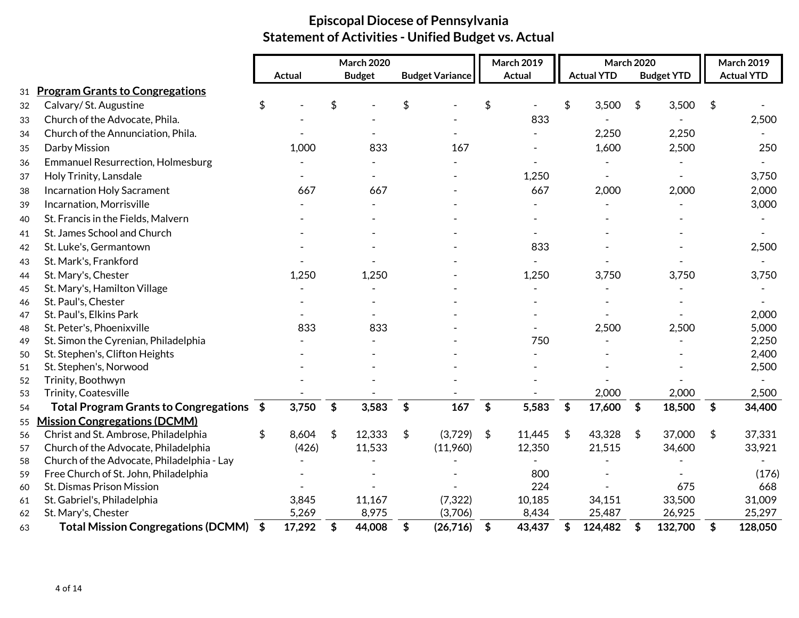|    |                                            |               | <b>March 2020</b> |                        |                           | <b>March 2019</b> | March 2020        |                   |                           | <b>March 2019</b> |
|----|--------------------------------------------|---------------|-------------------|------------------------|---------------------------|-------------------|-------------------|-------------------|---------------------------|-------------------|
|    |                                            | <b>Actual</b> | <b>Budget</b>     | <b>Budget Variance</b> |                           | <b>Actual</b>     | <b>Actual YTD</b> | <b>Budget YTD</b> |                           | <b>Actual YTD</b> |
| 31 | <b>Program Grants to Congregations</b>     |               |                   |                        |                           |                   |                   |                   |                           |                   |
| 32 | Calvary/St. Augustine                      | \$            | \$                | \$                     | \$                        |                   | \$<br>3,500       | \$<br>3,500       | \$                        |                   |
| 33 | Church of the Advocate, Phila.             |               |                   |                        |                           | 833               |                   |                   |                           | 2,500             |
| 34 | Church of the Annunciation, Phila.         |               |                   |                        |                           |                   | 2,250             | 2,250             |                           |                   |
| 35 | Darby Mission                              | 1,000         | 833               | 167                    |                           |                   | 1,600             | 2,500             |                           | 250               |
| 36 | <b>Emmanuel Resurrection, Holmesburg</b>   |               |                   |                        |                           |                   |                   |                   |                           |                   |
| 37 | Holy Trinity, Lansdale                     |               |                   |                        |                           | 1,250             |                   |                   |                           | 3,750             |
| 38 | <b>Incarnation Holy Sacrament</b>          | 667           | 667               |                        |                           | 667               | 2,000             | 2,000             |                           | 2,000             |
| 39 | Incarnation, Morrisville                   |               |                   |                        |                           |                   |                   |                   |                           | 3,000             |
| 40 | St. Francis in the Fields, Malvern         |               |                   |                        |                           |                   |                   |                   |                           |                   |
| 41 | St. James School and Church                |               |                   |                        |                           |                   |                   |                   |                           |                   |
| 42 | St. Luke's, Germantown                     |               |                   |                        |                           | 833               |                   |                   |                           | 2,500             |
| 43 | St. Mark's, Frankford                      |               |                   |                        |                           |                   |                   |                   |                           |                   |
| 44 | St. Mary's, Chester                        | 1,250         | 1,250             |                        |                           | 1,250             | 3,750             | 3,750             |                           | 3,750             |
| 45 | St. Mary's, Hamilton Village               |               |                   |                        |                           |                   |                   |                   |                           |                   |
| 46 | St. Paul's, Chester                        |               |                   |                        |                           |                   |                   |                   |                           |                   |
| 47 | St. Paul's, Elkins Park                    |               |                   |                        |                           |                   |                   |                   |                           | 2,000             |
| 48 | St. Peter's, Phoenixville                  | 833           | 833               |                        |                           |                   | 2,500             | 2,500             |                           | 5,000             |
| 49 | St. Simon the Cyrenian, Philadelphia       |               |                   |                        |                           | 750               |                   |                   |                           | 2,250             |
| 50 | St. Stephen's, Clifton Heights             |               |                   |                        |                           |                   |                   |                   |                           | 2,400             |
| 51 | St. Stephen's, Norwood                     |               |                   |                        |                           |                   |                   |                   |                           | 2,500             |
| 52 | Trinity, Boothwyn                          |               |                   |                        |                           |                   |                   |                   |                           |                   |
| 53 | Trinity, Coatesville                       |               |                   |                        |                           |                   | 2,000             | 2,000             |                           | 2,500             |
| 54 | Total Program Grants to Congregations \$   | 3,750         | \$<br>3,583       | \$<br>167              | $\boldsymbol{\mathsf{S}}$ | 5,583             | \$<br>17,600      | \$<br>18,500      | $\boldsymbol{\mathsf{s}}$ | 34,400            |
| 55 | <b>Mission Congregations (DCMM)</b>        |               |                   |                        |                           |                   |                   |                   |                           |                   |
| 56 | Christ and St. Ambrose, Philadelphia       | \$<br>8,604   | \$<br>12,333      | \$<br>(3,729)          | $\sqrt{5}$                | 11,445            | \$<br>43,328      | \$<br>37,000      | \$                        | 37,331            |
| 57 | Church of the Advocate, Philadelphia       | (426)         | 11,533            | (11,960)               |                           | 12,350            | 21,515            | 34,600            |                           | 33,921            |
| 58 | Church of the Advocate, Philadelphia - Lay |               |                   |                        |                           |                   |                   |                   |                           |                   |
| 59 | Free Church of St. John, Philadelphia      |               |                   |                        |                           | 800               |                   |                   |                           | (176)             |
| 60 | St. Dismas Prison Mission                  |               |                   |                        |                           | 224               |                   | 675               |                           | 668               |
| 61 | St. Gabriel's, Philadelphia                | 3,845         | 11,167            | (7, 322)               |                           | 10,185            | 34,151            | 33,500            |                           | 31,009            |
| 62 | St. Mary's, Chester                        | 5,269         | 8,975             | (3,706)                |                           | 8,434             | 25,487            | 26,925            |                           | 25,297            |
| 63 | Total Mission Congregations (DCMM) \$      | 17,292        | \$<br>44,008      | \$<br>(26,716)         | $\frac{1}{2}$             | 43,437            | \$<br>124,482     | \$<br>132,700     | \$                        | 128,050           |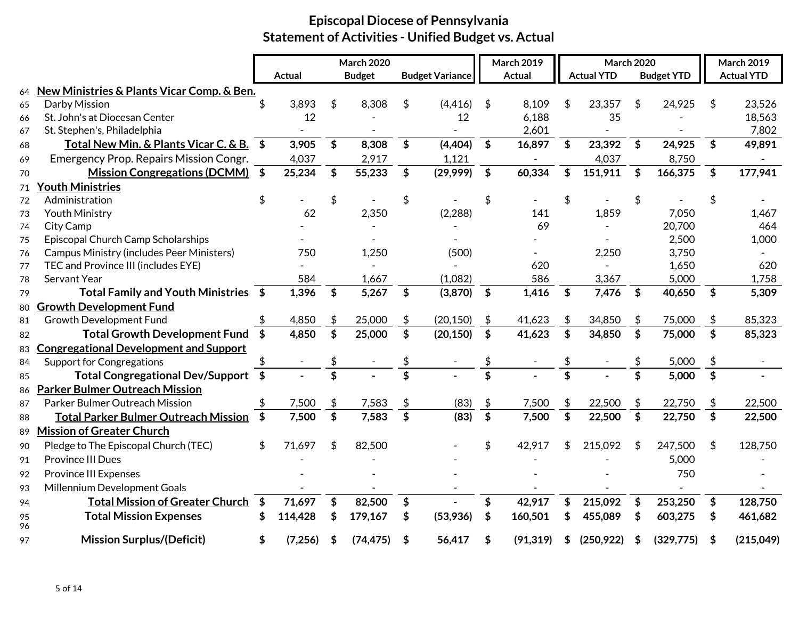|          |                                                  |                           |          |                           | <b>March 2020</b> |                           |                        |                            | <b>March 2019</b> | <b>March 2020</b>         |                   |                           | <b>March 2019</b> |                         |                   |
|----------|--------------------------------------------------|---------------------------|----------|---------------------------|-------------------|---------------------------|------------------------|----------------------------|-------------------|---------------------------|-------------------|---------------------------|-------------------|-------------------------|-------------------|
|          |                                                  |                           | Actual   |                           | <b>Budget</b>     |                           | <b>Budget Variance</b> |                            | <b>Actual</b>     |                           | <b>Actual YTD</b> |                           | <b>Budget YTD</b> |                         | <b>Actual YTD</b> |
| 64       | New Ministries & Plants Vicar Comp. & Ben.       |                           |          |                           |                   |                           |                        |                            |                   |                           |                   |                           |                   |                         |                   |
| 65       | Darby Mission                                    |                           | 3,893    | \$                        | 8,308             | S                         | (4, 416)               | \$                         | 8,109             | \$.                       | 23,357            | \$                        | 24,925            | -S                      | 23,526            |
| 66       | St. John's at Diocesan Center                    |                           | 12       |                           |                   |                           | 12                     |                            | 6,188             |                           | 35                |                           |                   |                         | 18,563            |
| 67       | St. Stephen's, Philadelphia                      |                           |          |                           |                   |                           |                        |                            | 2,601             |                           |                   |                           |                   |                         | 7,802             |
| 68       | Total New Min. & Plants Vicar C. & B. \$         |                           | 3,905    | \$                        | 8,308             | $\boldsymbol{\mathsf{s}}$ | (4, 404)               | $\boldsymbol{\mathsf{s}}$  | 16,897            | $\boldsymbol{\mathsf{s}}$ | 23,392            | \$                        | 24,925            | \$                      | 49,891            |
| 69       | Emergency Prop. Repairs Mission Congr.           |                           | 4,037    |                           | 2,917             |                           | 1,121                  |                            |                   |                           | 4,037             |                           | 8,750             |                         |                   |
| 70       | Mission Congregations (DCMM) \$                  |                           | 25,234   | \$                        | 55,233            | \$                        | (29,999)               | \$                         | 60,334            | \$                        | 151,911           | \$                        | 166,375           | \$                      | 177,941           |
| 71       | <b>Youth Ministries</b>                          |                           |          |                           |                   |                           |                        |                            |                   |                           |                   |                           |                   |                         |                   |
| 72       | Administration                                   | S                         |          | \$                        |                   | \$                        |                        | \$                         |                   |                           |                   |                           |                   |                         |                   |
| 73       | <b>Youth Ministry</b>                            |                           | 62       |                           | 2,350             |                           | (2, 288)               |                            | 141               |                           | 1,859             |                           | 7,050             |                         | 1,467             |
| 74       | City Camp                                        |                           |          |                           |                   |                           |                        |                            | 69                |                           |                   |                           | 20,700            |                         | 464               |
| 75       | Episcopal Church Camp Scholarships               |                           |          |                           |                   |                           |                        |                            |                   |                           |                   |                           | 2,500             |                         | 1,000             |
| 76       | <b>Campus Ministry (includes Peer Ministers)</b> |                           | 750      |                           | 1,250             |                           | (500)                  |                            |                   |                           | 2,250             |                           | 3,750             |                         |                   |
| 77       | TEC and Province III (includes EYE)              |                           |          |                           |                   |                           |                        |                            | 620               |                           |                   |                           | 1,650             |                         | 620               |
| 78       | Servant Year                                     |                           | 584      |                           | 1,667             |                           | (1,082)                |                            | 586               |                           | 3,367             |                           | 5,000             |                         | 1,758             |
| 79       | Total Family and Youth Ministries \$             |                           | 1,396    | \$                        | 5,267             | $\boldsymbol{\$}$         | (3,870)                | $\frac{1}{2}$              | 1,416             | \$                        | 7,476             | \$                        | 40,650            | \$                      | 5,309             |
| 80       | <b>Growth Development Fund</b>                   |                           |          |                           |                   |                           |                        |                            |                   |                           |                   |                           |                   |                         |                   |
| 81       | Growth Development Fund                          |                           | 4,850    | \$                        | 25,000            | \$                        | (20, 150)              | \$                         | 41,623            | \$                        | 34,850            |                           | 75,000            | \$                      | 85,323            |
| 82       | Total Growth Development Fund \$                 |                           | 4,850    | $\boldsymbol{\mathsf{S}}$ | 25,000            | \$                        | (20, 150)              | $\boldsymbol{\mathsf{\$}}$ | 41,623            | \$                        | 34,850            | \$                        | 75,000            | \$                      | 85,323            |
| 83       | <b>Congregational Development and Support</b>    |                           |          |                           |                   |                           |                        |                            |                   |                           |                   |                           |                   |                         |                   |
| 84       | <b>Support for Congregations</b>                 |                           |          |                           |                   |                           |                        | \$                         |                   |                           |                   |                           | 5,000             | \$                      |                   |
| 85       | <b>Total Congregational Dev/Support</b>          | $\boldsymbol{\mathsf{s}}$ |          | $\overline{\mathbf{s}}$   |                   | $\overline{\mathbf{s}}$   |                        | $\overline{\mathbf{s}}$    |                   | $\overline{\mathbf{s}}$   |                   | \$                        | 5,000             | $\overline{\mathbf{s}}$ |                   |
| 86       | <b>Parker Bulmer Outreach Mission</b>            |                           |          |                           |                   |                           |                        |                            |                   |                           |                   |                           |                   |                         |                   |
| 87       | Parker Bulmer Outreach Mission                   |                           | 7,500    | \$                        | 7,583             | \$                        | (83)                   | \$                         | 7,500             | \$                        | 22,500            | \$                        | 22,750            | \$                      | 22,500            |
| 88       | <b>Total Parker Bulmer Outreach Mission</b>      | \$                        | 7,500    | $\boldsymbol{\mathsf{S}}$ | 7,583             | \$                        | (83)                   | \$                         | 7,500             | \$                        | 22,500            | $\boldsymbol{\mathsf{s}}$ | 22,750            | \$                      | 22,500            |
| 89       | <b>Mission of Greater Church</b>                 |                           |          |                           |                   |                           |                        |                            |                   |                           |                   |                           |                   |                         |                   |
| 90       | Pledge to The Episcopal Church (TEC)             | \$                        | 71,697   | \$                        | 82,500            |                           |                        | \$                         | 42,917            |                           | 215,092           | \$                        | 247,500           | \$                      | 128,750           |
| 91       | <b>Province III Dues</b>                         |                           |          |                           |                   |                           |                        |                            |                   |                           |                   |                           | 5,000             |                         |                   |
| 92       | Province III Expenses                            |                           |          |                           |                   |                           |                        |                            |                   |                           |                   |                           | 750               |                         |                   |
| 93       | Millennium Development Goals                     |                           |          |                           |                   |                           |                        |                            |                   |                           |                   |                           |                   |                         |                   |
| 94       | <b>Total Mission of Greater Church</b>           | $\boldsymbol{\mathsf{s}}$ | 71,697   | \$                        | 82,500            | \$                        |                        | \$                         | 42,917            | \$                        | 215,092           | \$                        | 253,250           | \$                      | 128,750           |
| 95<br>96 | <b>Total Mission Expenses</b>                    |                           | 114,428  | \$                        | 179,167           | \$                        | (53,936)               | \$                         | 160,501           | \$                        | 455,089           | \$                        | 603,275           | \$                      | 461,682           |
| 97       | <b>Mission Surplus/(Deficit)</b>                 | \$                        | (7, 256) | \$                        | (74, 475)         | \$                        | 56,417                 | \$                         | (91, 319)         | S                         | (250, 922)        | S                         | (329, 775)        | S                       | (215, 049)        |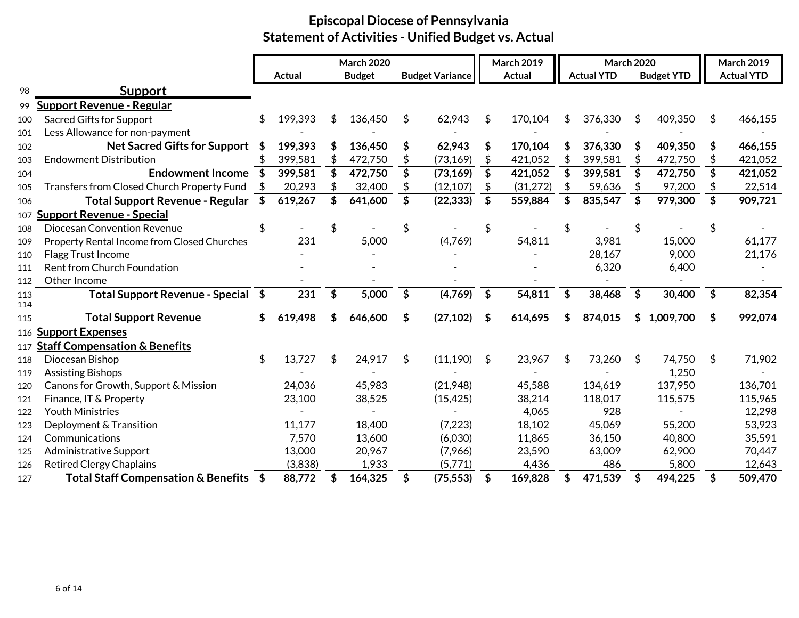|            |                                             |     |         |     | <b>March 2020</b> |                           |                        |               | <b>March 2019</b> | <b>March 2020</b> |    |                   |                    | March 2019        |
|------------|---------------------------------------------|-----|---------|-----|-------------------|---------------------------|------------------------|---------------|-------------------|-------------------|----|-------------------|--------------------|-------------------|
|            |                                             |     | Actual  |     | <b>Budget</b>     |                           | <b>Budget Variance</b> |               | <b>Actual</b>     | <b>Actual YTD</b> |    | <b>Budget YTD</b> |                    | <b>Actual YTD</b> |
| 98         | <b>Support</b>                              |     |         |     |                   |                           |                        |               |                   |                   |    |                   |                    |                   |
| 99         | <b>Support Revenue - Regular</b>            |     |         |     |                   |                           |                        |               |                   |                   |    |                   |                    |                   |
| 100        | <b>Sacred Gifts for Support</b>             | \$  | 199,393 | \$. | 136,450           | \$                        | 62,943                 | \$            | 170,104           | \$<br>376,330     | \$ | 409,350           | \$                 | 466,155           |
| 101        | Less Allowance for non-payment              |     |         |     |                   |                           |                        |               |                   |                   |    |                   |                    |                   |
| 102        | <b>Net Sacred Gifts for Support</b>         | \$  | 199,393 |     | 136,450           | \$                        | 62,943                 | \$            | 170,104           | \$<br>376,330     | \$ | 409,350           | \$                 | 466,155           |
| 103        | <b>Endowment Distribution</b>               |     | 399,581 |     | 472,750           |                           | (73, 169)              | \$            | 421,052           | \$<br>399,581     | \$ | 472,750           | \$                 | 421,052           |
| 104        | <b>Endowment Income</b>                     | -\$ | 399,581 |     | 472,750           | \$                        | (73, 169)              | \$            | 421,052           | \$<br>399,581     | \$ | 472,750           | \$                 | 421,052           |
| 105        | Transfers from Closed Church Property Fund  |     | 20,293  |     | 32,400            |                           | (12, 107)              |               | (31, 272)         | 59,636            |    | 97,200            |                    | 22,514            |
| 106        | <b>Total Support Revenue - Regular</b>      | \$  | 619,267 |     | 641,600           | \$                        | (22, 333)              | \$            | 559,884           | \$<br>835,547     | \$ | 979,300           | \$                 | 909,721           |
| 107        | <b>Support Revenue - Special</b>            |     |         |     |                   |                           |                        |               |                   |                   |    |                   |                    |                   |
| 108        | <b>Diocesan Convention Revenue</b>          |     |         | \$  |                   | \$                        |                        |               |                   |                   |    |                   | \$                 |                   |
| 109        | Property Rental Income from Closed Churches |     | 231     |     | 5,000             |                           | (4,769)                |               | 54,811            | 3,981             |    | 15,000            |                    | 61,177            |
| 110        | Flagg Trust Income                          |     |         |     |                   |                           |                        |               |                   | 28,167            |    | 9,000             |                    | 21,176            |
| 111        | Rent from Church Foundation                 |     |         |     |                   |                           |                        |               |                   | 6,320             |    | 6,400             |                    |                   |
| 112        | Other Income                                |     |         |     |                   |                           |                        |               |                   |                   |    |                   |                    |                   |
| 113        | Total Support Revenue - Special \$          |     | 231     | \$  | 5,000             | $\boldsymbol{\mathsf{s}}$ | (4,769)                | $\sqrt{5}$    | 54,811            | \$<br>38,468      | \$ | 30,400            | $\mathbf{\hat{S}}$ | 82,354            |
| 114        |                                             |     |         |     |                   |                           |                        |               |                   |                   |    |                   |                    |                   |
| 115        | <b>Total Support Revenue</b>                | \$  | 619,498 |     | 646,600           | \$                        | (27, 102)              | \$            | 614,695           | 874,015           | S  | 1,009,700         | \$                 | 992,074           |
|            | 116 Support Expenses                        |     |         |     |                   |                           |                        |               |                   |                   |    |                   |                    |                   |
|            | 117 Staff Compensation & Benefits           |     |         |     |                   |                           |                        |               |                   |                   |    |                   |                    |                   |
| 118        | Diocesan Bishop<br><b>Assisting Bishops</b> |     | 13,727  | \$  | 24,917            | \$                        | (11, 190)              | \$            | 23,967            | \$<br>73,260      | \$ | 74,750<br>1,250   | \$                 | 71,902            |
| 119        | Canons for Growth, Support & Mission        |     | 24,036  |     | 45,983            |                           | (21,948)               |               | 45,588            | 134,619           |    | 137,950           |                    | 136,701           |
| 120        | Finance, IT & Property                      |     | 23,100  |     | 38,525            |                           | (15, 425)              |               | 38,214            | 118,017           |    | 115,575           |                    | 115,965           |
| 121<br>122 | <b>Youth Ministries</b>                     |     |         |     |                   |                           |                        |               | 4,065             | 928               |    |                   |                    | 12,298            |
| 123        | Deployment & Transition                     |     | 11,177  |     | 18,400            |                           | (7, 223)               |               | 18,102            | 45,069            |    | 55,200            |                    | 53,923            |
| 124        | Communications                              |     | 7,570   |     | 13,600            |                           | (6,030)                |               | 11,865            | 36,150            |    | 40,800            |                    | 35,591            |
| 125        | <b>Administrative Support</b>               |     | 13,000  |     | 20,967            |                           | (7,966)                |               | 23,590            | 63,009            |    | 62,900            |                    | 70,447            |
| 126        | <b>Retired Clergy Chaplains</b>             |     | (3,838) |     | 1,933             |                           | (5,771)                |               | 4,436             | 486               |    | 5,800             |                    | 12,643            |
| 127        | Total Staff Compensation & Benefits \$      |     | 88,772  |     | 164,325           | \$                        | (75, 553)              | $\frac{1}{2}$ | 169,828           | \$<br>471,539     | \$ | 494,225           | \$                 | 509,470           |
|            |                                             |     |         |     |                   |                           |                        |               |                   |                   |    |                   |                    |                   |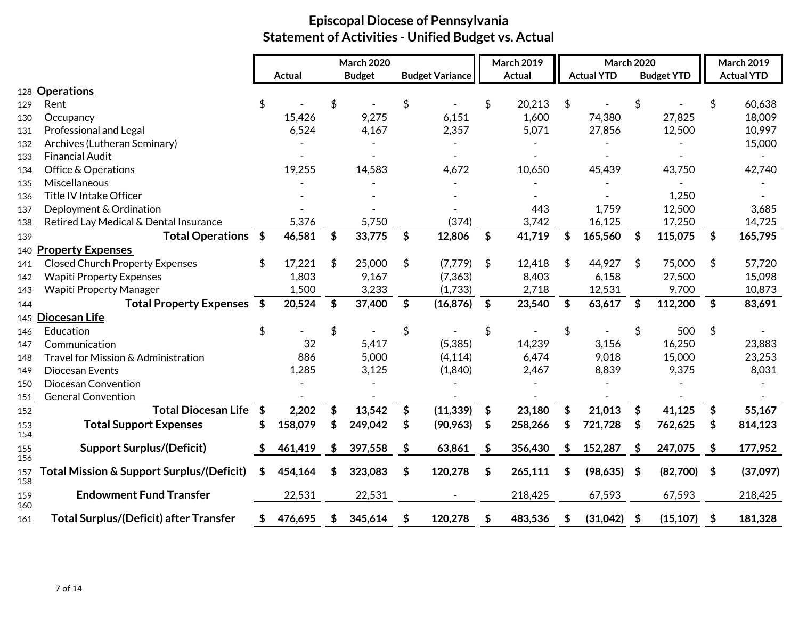|            |                                               |                           |               |                           | <b>March 2020</b> |                           |                        |                           | March 2019    | <b>March 2020</b> |                   |                    |                   | <b>March 2019</b> |                   |
|------------|-----------------------------------------------|---------------------------|---------------|---------------------------|-------------------|---------------------------|------------------------|---------------------------|---------------|-------------------|-------------------|--------------------|-------------------|-------------------|-------------------|
|            |                                               |                           | <b>Actual</b> |                           | <b>Budget</b>     |                           | <b>Budget Variance</b> |                           | <b>Actual</b> |                   | <b>Actual YTD</b> |                    | <b>Budget YTD</b> |                   | <b>Actual YTD</b> |
|            | 128 Operations                                |                           |               |                           |                   |                           |                        |                           |               |                   |                   |                    |                   |                   |                   |
| 129        | Rent                                          |                           |               | \$                        |                   | \$                        |                        | \$                        | 20,213        | \$                |                   | \$                 |                   | \$                | 60,638            |
| 130        | Occupancy                                     |                           | 15,426        |                           | 9,275             |                           | 6,151                  |                           | 1,600         |                   | 74,380            |                    | 27,825            |                   | 18,009            |
| 131        | Professional and Legal                        |                           | 6,524         |                           | 4,167             |                           | 2,357                  |                           | 5,071         |                   | 27,856            |                    | 12,500            |                   | 10,997            |
| 132        | Archives (Lutheran Seminary)                  |                           |               |                           |                   |                           |                        |                           |               |                   |                   |                    |                   |                   | 15,000            |
| 133        | <b>Financial Audit</b>                        |                           |               |                           |                   |                           |                        |                           |               |                   |                   |                    |                   |                   |                   |
| 134        | Office & Operations                           |                           | 19,255        |                           | 14,583            |                           | 4,672                  |                           | 10,650        |                   | 45,439            |                    | 43,750            |                   | 42,740            |
| 135        | Miscellaneous                                 |                           |               |                           |                   |                           |                        |                           |               |                   |                   |                    |                   |                   |                   |
| 136        | Title IV Intake Officer                       |                           |               |                           |                   |                           |                        |                           |               |                   |                   |                    | 1,250             |                   |                   |
| 137        | Deployment & Ordination                       |                           |               |                           |                   |                           |                        |                           | 443           |                   | 1,759             |                    | 12,500            |                   | 3,685             |
| 138        | Retired Lay Medical & Dental Insurance        |                           | 5,376         |                           | 5,750             |                           | (374)                  |                           | 3,742         |                   | 16,125            |                    | 17,250            |                   | 14,725            |
| 139        | <b>Total Operations</b>                       | $\sqrt{5}$                | 46,581        | $\boldsymbol{\mathsf{s}}$ | 33,775            | $\boldsymbol{\mathsf{s}}$ | 12,806                 | $\boldsymbol{\mathsf{s}}$ | 41,719        | \$                | 165,560           | $\mathbf{\hat{S}}$ | 115,075           | $\frac{4}{5}$     | 165,795           |
|            | 140 Property Expenses                         |                           |               |                           |                   |                           |                        |                           |               |                   |                   |                    |                   |                   |                   |
| 141        | <b>Closed Church Property Expenses</b>        |                           | 17,221        | \$                        | 25,000            | \$                        | (7,779)                | \$                        | 12,418        | \$                | 44,927            | \$                 | 75,000            | \$                | 57,720            |
| 142        | <b>Wapiti Property Expenses</b>               |                           | 1,803         |                           | 9,167             |                           | (7, 363)               |                           | 8,403         |                   | 6,158             |                    | 27,500            |                   | 15,098            |
| 143        | <b>Wapiti Property Manager</b>                |                           | 1,500         |                           | 3,233             |                           | (1,733)                |                           | 2,718         |                   | 12,531            |                    | 9,700             |                   | 10,873            |
| 144        | Total Property Expenses \$                    |                           | 20,524        | \$                        | 37,400            | \$                        | (16, 876)              | \$                        | 23,540        | $$^{\circ}$       | 63,617            | \$                 | 112,200           | \$                | 83,691            |
|            | 145 Diocesan Life                             |                           |               |                           |                   |                           |                        |                           |               |                   |                   |                    |                   |                   |                   |
| 146        | Education                                     | \$                        |               | \$                        |                   | \$                        |                        | \$                        |               | \$                |                   | \$                 | 500               | \$                |                   |
| 147        | Communication                                 |                           | 32            |                           | 5,417             |                           | (5,385)                |                           | 14,239        |                   | 3,156             |                    | 16,250            |                   | 23,883            |
| 148        | Travel for Mission & Administration           |                           | 886           |                           | 5,000             |                           | (4, 114)               |                           | 6,474         |                   | 9,018             |                    | 15,000            |                   | 23,253            |
| 149        | Diocesan Events                               |                           | 1,285         |                           | 3,125             |                           | (1,840)                |                           | 2,467         |                   | 8,839             |                    | 9,375             |                   | 8,031             |
| 150        | Diocesan Convention                           |                           |               |                           |                   |                           |                        |                           |               |                   |                   |                    |                   |                   |                   |
| 151        | <b>General Convention</b>                     |                           |               |                           |                   |                           |                        |                           |               |                   |                   |                    |                   |                   |                   |
| 152        | <b>Total Diocesan Life</b>                    | $\boldsymbol{\mathsf{s}}$ | 2,202         | \$                        | 13,542            | \$                        | (11, 339)              | \$                        | 23,180        | \$                | 21,013            | \$                 | 41,125            | \$                | 55,167            |
| 153<br>154 | <b>Total Support Expenses</b>                 | \$                        | 158,079       | \$                        | 249,042           | \$                        | (90, 963)              | \$                        | 258,266       |                   | 721,728           | \$                 | 762,625           | \$                | 814,123           |
| 155<br>156 | <b>Support Surplus/(Deficit)</b>              | \$                        | 461,419       | \$                        | 397,558           | \$                        | 63,861                 | \$                        | 356,430       | \$                | 152,287           | \$                 | 247,075           | \$                | 177,952           |
| 157<br>158 | Total Mission & Support Surplus/(Deficit)     | \$                        | 454,164       | \$                        | 323,083           | \$                        | 120,278                | \$                        | 265,111       | \$                | (98, 635)         | \$                 | (82,700)          | $\frac{1}{2}$     | (37,097)          |
| 159<br>160 | <b>Endowment Fund Transfer</b>                |                           | 22,531        |                           | 22,531            |                           |                        |                           | 218,425       |                   | 67,593            |                    | 67,593            |                   | 218,425           |
| 161        | <b>Total Surplus/(Deficit) after Transfer</b> |                           | 476,695       | \$                        | 345,614           | \$                        | 120,278                |                           | 483,536       | -S                | $(31,042)$ \$     |                    | (15, 107)         | - \$              | 181,328           |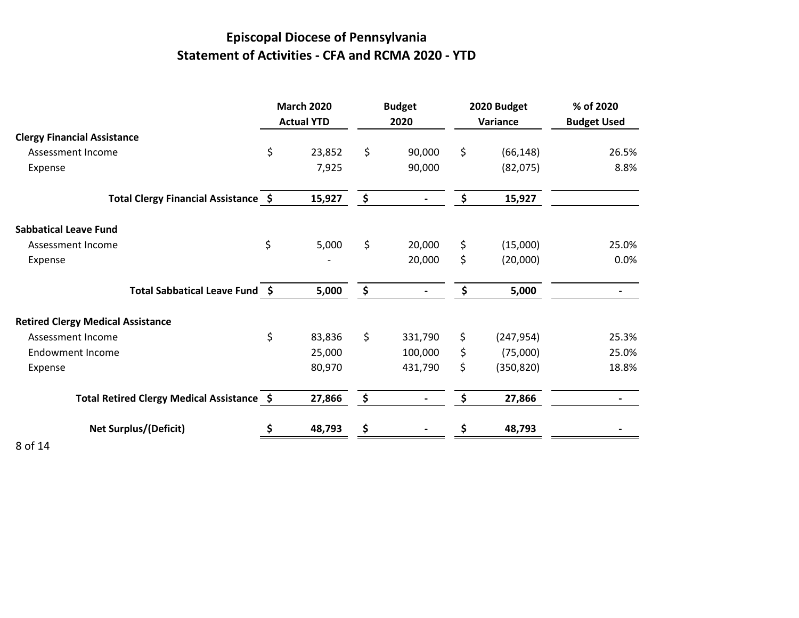## **Episcopal Diocese of Pennsylvania Statement of Activities - CFA and RCMA 2020 - YTD**

|                                            | <b>March 2020</b><br><b>Actual YTD</b> | <b>Budget</b><br>2020 | 2020 Budget<br>Variance | % of 2020<br><b>Budget Used</b> |
|--------------------------------------------|----------------------------------------|-----------------------|-------------------------|---------------------------------|
| <b>Clergy Financial Assistance</b>         |                                        |                       |                         |                                 |
| Assessment Income                          | \$<br>23,852                           | \$<br>90,000          | \$<br>(66, 148)         | 26.5%                           |
| Expense                                    | 7,925                                  | 90,000                | (82,075)                | 8.8%                            |
| Total Clergy Financial Assistance \$       | 15,927                                 | \$                    | \$<br>15,927            |                                 |
| <b>Sabbatical Leave Fund</b>               |                                        |                       |                         |                                 |
| Assessment Income                          | \$<br>5,000                            | \$<br>20,000          | \$<br>(15,000)          | 25.0%                           |
| Expense                                    |                                        | 20,000                | \$<br>(20,000)          | 0.0%                            |
| Total Sabbatical Leave Fund \$             | 5,000                                  | \$                    | \$<br>5,000             | $\overline{\phantom{0}}$        |
| <b>Retired Clergy Medical Assistance</b>   |                                        |                       |                         |                                 |
| Assessment Income                          | \$<br>83,836                           | \$<br>331,790         | \$<br>(247, 954)        | 25.3%                           |
| <b>Endowment Income</b>                    | 25,000                                 | 100,000               | \$<br>(75,000)          | 25.0%                           |
| Expense                                    | 80,970                                 | 431,790               | \$<br>(350, 820)        | 18.8%                           |
| Total Retired Clergy Medical Assistance \$ | 27,866                                 | \$                    | \$<br>27,866            |                                 |
| <b>Net Surplus/(Deficit)</b>               | 48,793                                 |                       | 48,793                  |                                 |
| .                                          |                                        |                       |                         |                                 |

8 of 14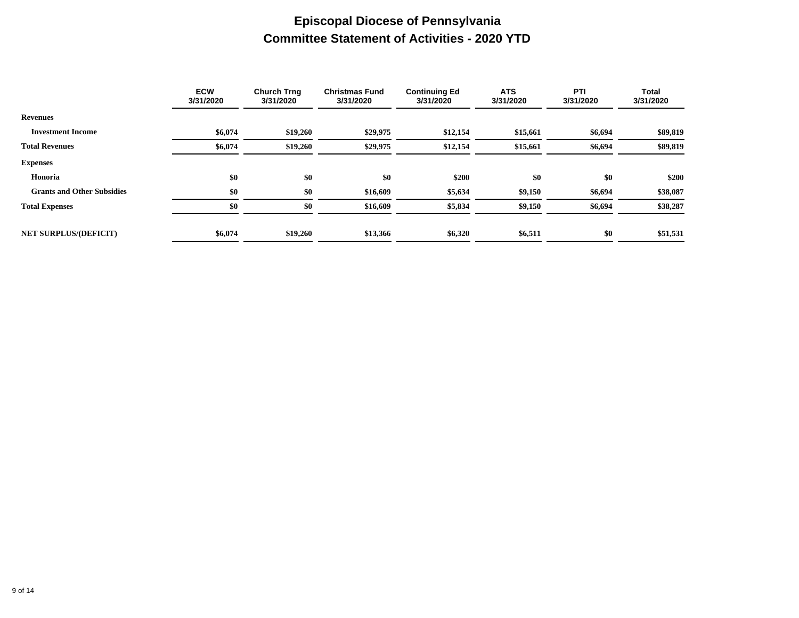## **Episcopal Diocese of Pennsylvania Committee Statement of Activities - 2020 YTD**

|                                   | <b>ECW</b><br>3/31/2020 | <b>Church Trng</b><br>3/31/2020 | <b>Christmas Fund</b><br>3/31/2020 | <b>Continuing Ed</b><br>3/31/2020 | <b>ATS</b><br>3/31/2020 | PTI<br>3/31/2020 | Total<br>3/31/2020 |
|-----------------------------------|-------------------------|---------------------------------|------------------------------------|-----------------------------------|-------------------------|------------------|--------------------|
| <b>Revenues</b>                   |                         |                                 |                                    |                                   |                         |                  |                    |
| <b>Investment Income</b>          | \$6,074                 | \$19,260                        | \$29,975                           | \$12,154                          | \$15,661                | \$6,694          | \$89,819           |
| <b>Total Revenues</b>             | \$6,074                 | \$19,260                        | \$29,975                           | \$12,154                          | \$15,661                | \$6,694          | \$89,819           |
| <b>Expenses</b>                   |                         |                                 |                                    |                                   |                         |                  |                    |
| Honoria                           | \$0                     | \$0                             | \$0                                | \$200                             | \$0                     | \$0              | \$200              |
| <b>Grants and Other Subsidies</b> | \$0                     | \$0                             | \$16,609                           | \$5,634                           | \$9,150                 | \$6,694          | \$38,087           |
| <b>Total Expenses</b>             | \$0                     | \$0                             | \$16,609                           | \$5,834                           | \$9,150                 | \$6,694          | \$38,287           |
|                                   |                         |                                 |                                    |                                   |                         |                  |                    |
| <b>NET SURPLUS/(DEFICIT)</b>      | \$6,074                 | \$19,260                        | \$13,366                           | \$6,320                           | \$6,511                 | \$0              | \$51,531           |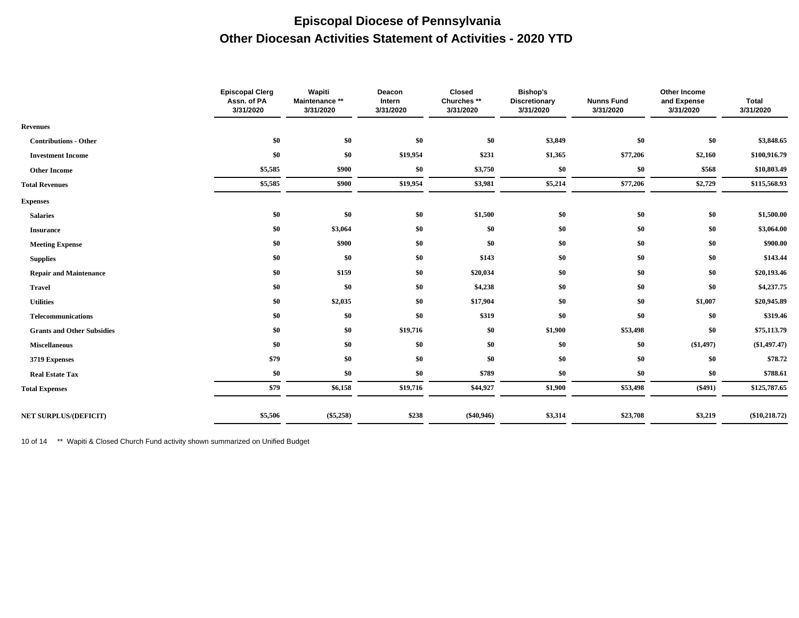### **Episcopal Diocese of Pennsylvania Other Diocesan Activities Statement of Activities - 2020 YTD**

|                                   | <b>Episcopal Clerg</b><br>Assn. of PA<br>3/31/2020 | Wapiti<br>Maintenance **<br>3/31/2020 | Deacon<br>Intern<br>3/31/2020 | Closed<br>Churches <sup>**</sup><br>3/31/2020 | <b>Bishop's</b><br><b>Discretionary</b><br>3/31/2020 | <b>Nunns Fund</b><br>3/31/2020 | Other Income<br>and Expense<br>3/31/2020 | <b>Total</b><br>3/31/2020 |
|-----------------------------------|----------------------------------------------------|---------------------------------------|-------------------------------|-----------------------------------------------|------------------------------------------------------|--------------------------------|------------------------------------------|---------------------------|
| <b>Revenues</b>                   |                                                    |                                       |                               |                                               |                                                      |                                |                                          |                           |
| <b>Contributions - Other</b>      | \$0                                                | \$0                                   | \$0                           | \$0                                           | \$3,849                                              | \$0                            | \$0                                      | \$3,848.65                |
| <b>Investment Income</b>          | \$0                                                | \$0                                   | \$19,954                      | \$231                                         | \$1,365                                              | \$77,206                       | \$2,160                                  | \$100,916.79              |
| <b>Other Income</b>               | \$5,585                                            | \$900                                 | \$0                           | \$3,750                                       | \$0                                                  | \$0                            | \$568                                    | \$10,803.49               |
| <b>Total Revenues</b>             | \$5,585                                            | \$900                                 | \$19,954                      | \$3,981                                       | \$5,214                                              | \$77,206                       | \$2,729                                  | \$115,568.93              |
| <b>Expenses</b>                   |                                                    |                                       |                               |                                               |                                                      |                                |                                          |                           |
| <b>Salaries</b>                   | \$0                                                | \$0                                   | \$0                           | \$1,500                                       | \$0                                                  | \$0                            | \$0                                      | \$1,500.00                |
| <b>Insurance</b>                  | \$0                                                | \$3,064                               | \$0                           | \$0                                           | \$0                                                  | \$0                            | \$0                                      | \$3,064.00                |
| <b>Meeting Expense</b>            | \$0                                                | \$900                                 | \$0                           | \$0                                           | \$0                                                  | \$0                            | \$0                                      | \$900.00                  |
| <b>Supplies</b>                   | \$0                                                | \$0                                   | \$0                           | \$143                                         | \$0                                                  | \$0                            | \$0                                      | \$143.44                  |
| <b>Repair and Maintenance</b>     | \$0                                                | \$159                                 | \$0                           | \$20,034                                      | \$0                                                  | \$0                            | \$0                                      | \$20,193.46               |
| <b>Travel</b>                     | \$0                                                | \$0                                   | \$0                           | \$4,238                                       | \$0                                                  | \$0                            | \$0                                      | \$4,237.75                |
| <b>Utilities</b>                  | \$0                                                | \$2,035                               | \$0                           | \$17,904                                      | \$0                                                  | \$0                            | \$1,007                                  | \$20,945.89               |
| <b>Telecommunications</b>         | \$0                                                | \$0                                   | \$0                           | \$319                                         | \$0                                                  | \$0                            | \$0                                      | \$319.46                  |
| <b>Grants and Other Subsidies</b> | \$0                                                | \$0                                   | \$19,716                      | \$0                                           | \$1,900                                              | \$53,498                       | \$0                                      | \$75,113.79               |
| <b>Miscellaneous</b>              | \$0                                                | \$0                                   | \$0                           | \$0                                           | \$0                                                  | \$0                            | (\$1,497)                                | $(\$1,497.47)$            |
| 3719 Expenses                     | \$79                                               | \$0                                   | \$0                           | \$0                                           | \$0                                                  | \$0                            | \$0                                      | \$78.72                   |
| <b>Real Estate Tax</b>            | \$0                                                | \$0                                   | \$0                           | \$789                                         | \$0                                                  | \$0                            | \$0                                      | \$788.61                  |
| <b>Total Expenses</b>             | \$79                                               | \$6,158                               | \$19,716                      | \$44,927                                      | \$1,900                                              | \$53,498                       | $(\$491)$                                | \$125,787.65              |
| <b>NET SURPLUS/(DEFICIT)</b>      | \$5,506                                            | $(\$5,258)$                           | \$238                         | $(\$40,946)$                                  | \$3,314                                              | \$23,708                       | \$3,219                                  | $(\$10,218.72)$           |
|                                   |                                                    |                                       |                               |                                               |                                                      |                                |                                          |                           |

10 of 14 \*\* Wapiti & Closed Church Fund activity shown summarized on Unified Budget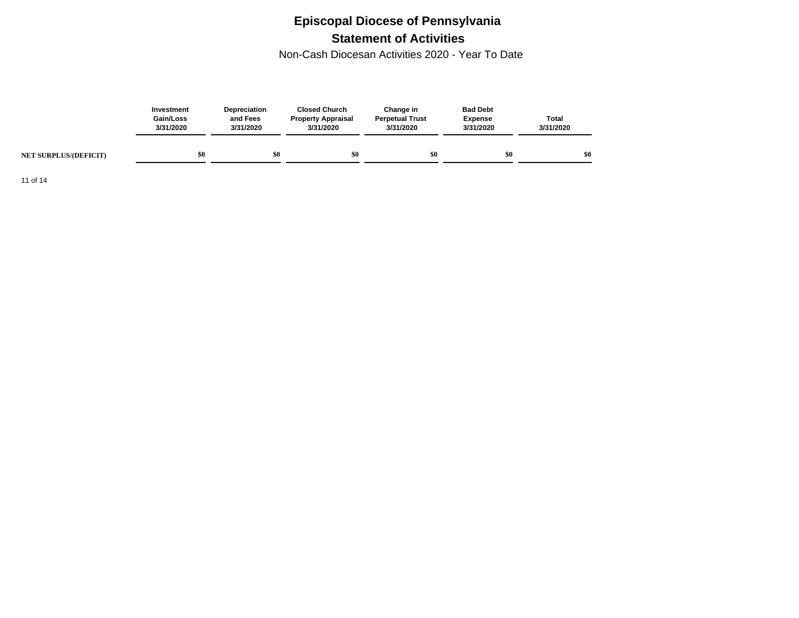## **Episcopal Diocese of Pennsylvania Statement of Activities**

Non-Cash Diocesan Activities 2020 - Year To Date

|                              | Investment<br>Gain/Loss<br>3/31/2020 | <b>Depreciation</b><br>and Fees<br>3/31/2020 | <b>Closed Church</b><br><b>Property Appraisal</b><br>3/31/2020 | Change in<br><b>Perpetual Trust</b><br>3/31/2020 | <b>Bad Debt</b><br><b>Expense</b><br>3/31/2020 | <b>Total</b><br>3/31/2020 |
|------------------------------|--------------------------------------|----------------------------------------------|----------------------------------------------------------------|--------------------------------------------------|------------------------------------------------|---------------------------|
| <b>NET SURPLUS/(DEFICIT)</b> | 80                                   | \$0                                          | \$0                                                            | \$0                                              | \$0                                            | \$0                       |

11 of 14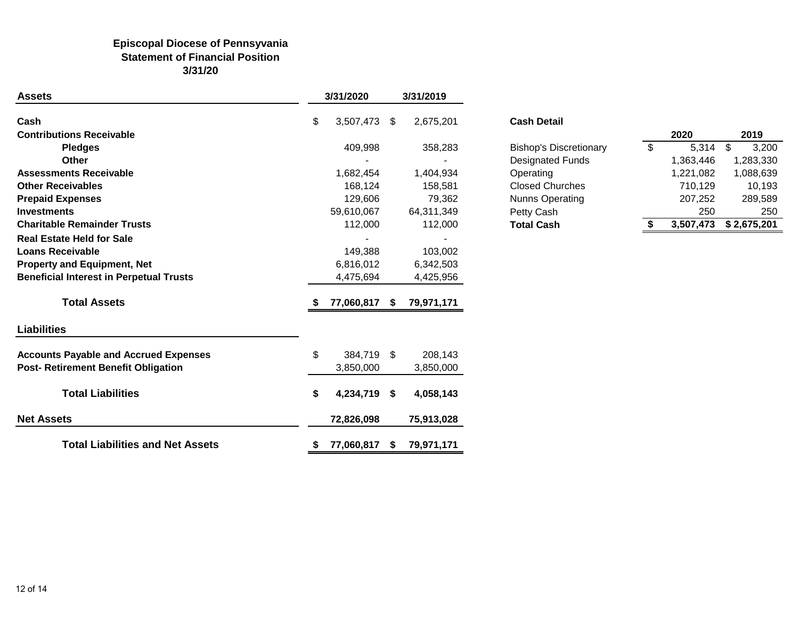### **Episcopal Diocese of Pennsyvania Statement of Financial Position 3/31/20**

| <b>Assets</b>                                  |    | 3/31/2020  |    | 3/31/2019  |                               |               |           |             |
|------------------------------------------------|----|------------|----|------------|-------------------------------|---------------|-----------|-------------|
| Cash                                           | \$ | 3,507,473  | \$ | 2,675,201  | <b>Cash Detail</b>            |               |           |             |
| <b>Contributions Receivable</b>                |    |            |    |            |                               |               | 2020      | 2019        |
| <b>Pledges</b>                                 |    | 409,998    |    | 358,283    | <b>Bishop's Discretionary</b> | $\sqrt[6]{2}$ | 5,314     | \$<br>3,200 |
| Other                                          |    |            |    |            | <b>Designated Funds</b>       |               | 1,363,446 | 1,283,330   |
| <b>Assessments Receivable</b>                  |    | 1,682,454  |    | 1,404,934  | Operating                     |               | 1,221,082 | 1,088,639   |
| <b>Other Receivables</b>                       |    | 168,124    |    | 158,581    | <b>Closed Churches</b>        |               | 710,129   | 10,193      |
| <b>Prepaid Expenses</b>                        |    | 129,606    |    | 79,362     | Nunns Operating               |               | 207,252   | 289,589     |
| <b>Investments</b>                             |    | 59,610,067 |    | 64,311,349 | Petty Cash                    |               | 250       | 250         |
| <b>Charitable Remainder Trusts</b>             |    | 112,000    |    | 112,000    | <b>Total Cash</b>             | S.            | 3,507,473 | \$2,675,201 |
| <b>Real Estate Held for Sale</b>               |    |            |    |            |                               |               |           |             |
| <b>Loans Receivable</b>                        |    | 149,388    |    | 103,002    |                               |               |           |             |
| <b>Property and Equipment, Net</b>             |    | 6,816,012  |    | 6,342,503  |                               |               |           |             |
| <b>Beneficial Interest in Perpetual Trusts</b> |    | 4,475,694  |    | 4,425,956  |                               |               |           |             |
| <b>Total Assets</b>                            |    | 77,060,817 | -S | 79,971,171 |                               |               |           |             |
| <b>Liabilities</b>                             |    |            |    |            |                               |               |           |             |
| <b>Accounts Payable and Accrued Expenses</b>   | \$ | 384,719    | \$ | 208,143    |                               |               |           |             |
| <b>Post-Retirement Benefit Obligation</b>      |    | 3,850,000  |    | 3,850,000  |                               |               |           |             |
| <b>Total Liabilities</b>                       | S  | 4,234,719  | \$ | 4,058,143  |                               |               |           |             |
| <b>Net Assets</b>                              |    | 72,826,098 |    | 75,913,028 |                               |               |           |             |
| <b>Total Liabilities and Net Assets</b>        |    | 77,060,817 | S. | 79,971,171 |                               |               |           |             |

|                   |    | 2020      | 2019         |
|-------------------|----|-----------|--------------|
| p's Discretionary | \$ | 5,314     | 3,200<br>-\$ |
| nated Funds       |    | 1,363,446 | 1,283,330    |
| ating             |    | 1,221,082 | 1,088,639    |
| d Churches        |    | 710,129   | 10,193       |
| s Operating       |    | 207,252   | 289,589      |
| Cash              |    | 250       | 250          |
| Cash              | S  | 3,507,473 | \$2,675,201  |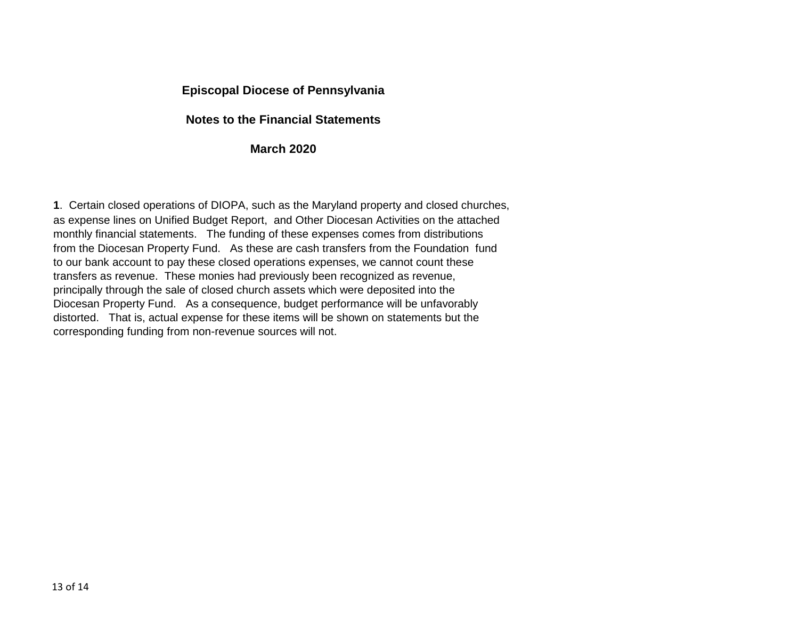### **Episcopal Diocese of Pennsylvania**

### **Notes to the Financial Statements**

### **March 2020**

**1**. Certain closed operations of DIOPA, such as the Maryland property and closed churches, as expense lines on Unified Budget Report, and Other Diocesan Activities on the attached monthly financial statements. The funding of these expenses comes from distributions from the Diocesan Property Fund. As these are cash transfers from the Foundation fund to our bank account to pay these closed operations expenses, we cannot count these transfers as revenue. These monies had previously been recognized as revenue, principally through the sale of closed church assets which were deposited into the Diocesan Property Fund. As a consequence, budget performance will be unfavorably distorted. That is, actual expense for these items will be shown on statements but the corresponding funding from non-revenue sources will not.